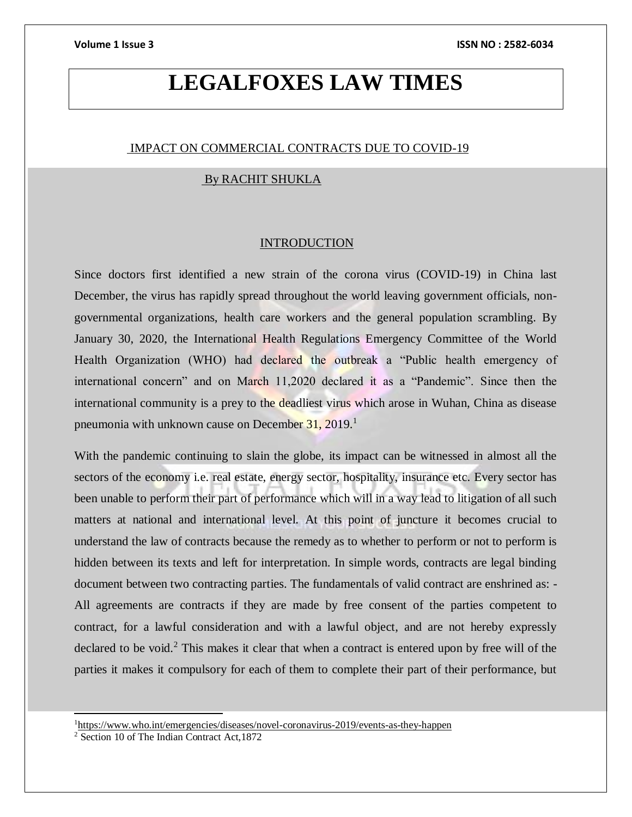## **LEGALFOXES LAW TIMES**

### IMPACT ON COMMERCIAL CONTRACTS DUE TO COVID-19

### By RACHIT SHUKLA

#### **INTRODUCTION**

Since doctors first identified a new strain of the corona virus (COVID-19) in China last December, the virus has rapidly spread throughout the world leaving government officials, nongovernmental organizations, health care workers and the general population scrambling. By January 30, 2020, the International Health Regulations Emergency Committee of the World Health Organization (WHO) had declared the outbreak a "Public health emergency of international concern" and on March 11,2020 declared it as a "Pandemic". Since then the international community is a prey to the deadliest virus which arose in Wuhan, China as disease pneumonia with unknown cause on December 31, 2019.<sup>1</sup>

With the pandemic continuing to slain the globe, its impact can be witnessed in almost all the sectors of the economy i.e. real estate, energy sector, hospitality, insurance etc. Every sector has been unable to perform their part of performance which will in a way lead to litigation of all such matters at national and international level. At this point of juncture it becomes crucial to understand the law of contracts because the remedy as to whether to perform or not to perform is hidden between its texts and left for interpretation. In simple words, contracts are legal binding document between two contracting parties. The fundamentals of valid contract are enshrined as: - All agreements are contracts if they are made by free consent of the parties competent to contract, for a lawful consideration and with a lawful object, and are not hereby expressly declared to be void.<sup>2</sup> This makes it clear that when a contract is entered upon by free will of the parties it makes it compulsory for each of them to complete their part of their performance, but

<sup>1</sup><https://www.who.int/emergencies/diseases/novel-coronavirus-2019/events-as-they-happen>

l

<sup>2</sup> Section 10 of The Indian Contract Act,1872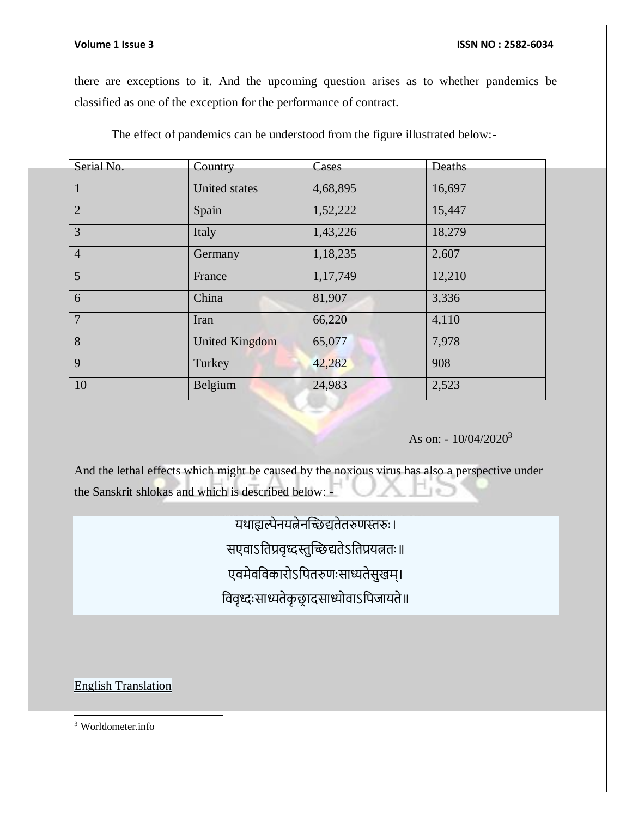there are exceptions to it. And the upcoming question arises as to whether pandemics be classified as one of the exception for the performance of contract.

The effect of pandemics can be understood from the figure illustrated below:-

| Serial No.     | Country               | Cases    | Deaths |
|----------------|-----------------------|----------|--------|
|                |                       |          |        |
| 1              | <b>United states</b>  | 4,68,895 | 16,697 |
| $\overline{2}$ | Spain                 | 1,52,222 | 15,447 |
| 3              | Italy                 | 1,43,226 | 18,279 |
| $\overline{4}$ | Germany               | 1,18,235 | 2,607  |
| 5              | France                | 1,17,749 | 12,210 |
| 6              | China                 | 81,907   | 3,336  |
| $\overline{7}$ | Iran                  | 66,220   | 4,110  |
| 8              | <b>United Kingdom</b> | 65,077   | 7,978  |
| 9              | Turkey                | 42,282   | 908    |
| 10             | Belgium               | 24,983   | 2,523  |

### As on:  $-10/04/2020^3$

And the lethal effects which might be caused by the noxious virus has also a perspective under the Sanskrit shlokas and which is described below: -

यथाह्यल्पेनयत्नेनच्छिद्यतेतरुणस्तरुुः।

सएवाऽतिप्रवृध्दस्तुच्छिद्यतेऽतिप्रयत्नतः॥

एवमेवविकारोऽपितरुणःसाध्यतेसुखम्।

तववृध्दुःसाध्यतेकृ छ्र ादसाध्योवाऽतिजायते॥

English Translation

<sup>3</sup> Worldometer.info

 $\overline{\phantom{a}}$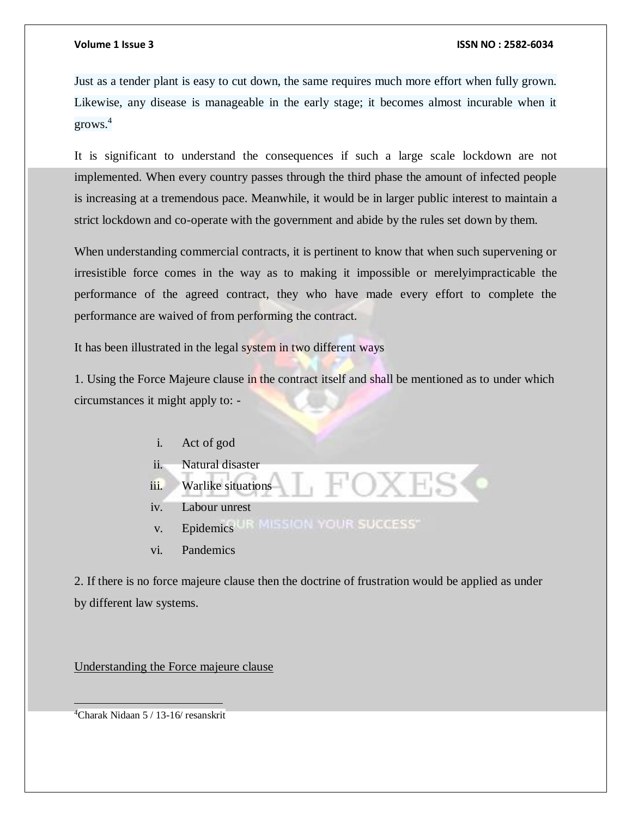Just as a tender plant is easy to cut down, the same requires much more effort when fully grown. Likewise, any disease is manageable in the early stage; it becomes almost incurable when it grows.<sup>4</sup>

It is significant to understand the consequences if such a large scale lockdown are not implemented. When every country passes through the third phase the amount of infected people is increasing at a tremendous pace. Meanwhile, it would be in larger public interest to maintain a strict lockdown and co-operate with the government and abide by the rules set down by them.

When understanding commercial contracts, it is pertinent to know that when such supervening or irresistible force comes in the way as to making it impossible or merelyimpracticable the performance of the agreed contract, they who have made every effort to complete the performance are waived of from performing the contract.

It has been illustrated in the legal system in two different ways

1. Using the Force Majeure clause in the contract itself and shall be mentioned as to under which circumstances it might apply to: -

- i. Act of god
- ii. Natural disaster
- iii. Warlike situations
- iv. Labour unrest
- v. Epidemics UR MISSION YOUR SUCCESS"
- vi. Pandemics

2. If there is no force majeure clause then the doctrine of frustration would be applied as under by different law systems.

Understanding the Force majeure clause

4Charak Nidaan 5 / 13-16/ resanskrit

 $\overline{a}$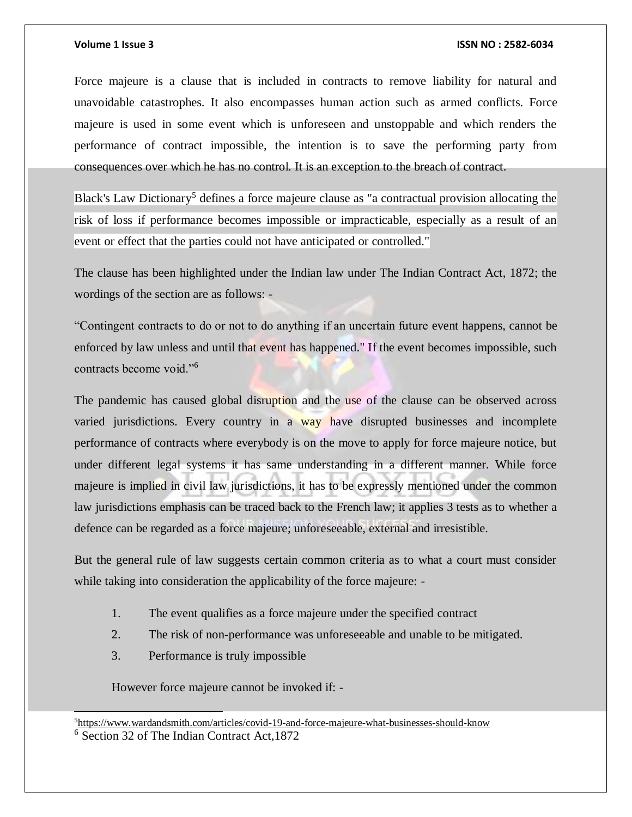Force majeure is a clause that is included in contracts to remove liability for natural and unavoidable catastrophes. It also encompasses human action such as armed conflicts. Force majeure is used in some event which is unforeseen and unstoppable and which renders the performance of contract impossible, the intention is to save the performing party from consequences over which he has no control. It is an exception to the breach of contract.

Black's Law Dictionary<sup>5</sup> defines a force majeure clause as "a contractual provision allocating the risk of loss if performance becomes impossible or impracticable, especially as a result of an event or effect that the parties could not have anticipated or controlled."

The clause has been highlighted under the Indian law under The Indian Contract Act, 1872; the wordings of the section are as follows: -

"Contingent contracts to do or not to do anything if an uncertain future event happens, cannot be enforced by law unless and until that event has happened." If the event becomes impossible, such contracts become void."<sup>6</sup>

The pandemic has caused global disruption and the use of the clause can be observed across varied jurisdictions. Every country in a way have disrupted businesses and incomplete performance of contracts where everybody is on the move to apply for force majeure notice, but under different legal systems it has same understanding in a different manner. While force majeure is implied in civil law jurisdictions, it has to be expressly mentioned under the common law jurisdictions emphasis can be traced back to the French law; it applies 3 tests as to whether a defence can be regarded as a force majeure; unforeseeable, external and irresistible.

But the general rule of law suggests certain common criteria as to what a court must consider while taking into consideration the applicability of the force majeure: -

- 1. The event qualifies as a force majeure under the specified contract
- 2. The risk of non-performance was unforeseeable and unable to be mitigated.
- 3. Performance is truly impossible

 $\overline{\phantom{a}}$ 

However force majeure cannot be invoked if: -

<sup>5</sup><https://www.wardandsmith.com/articles/covid-19-and-force-majeure-what-businesses-should-know> <sup>6</sup> Section 32 of The Indian Contract Act,1872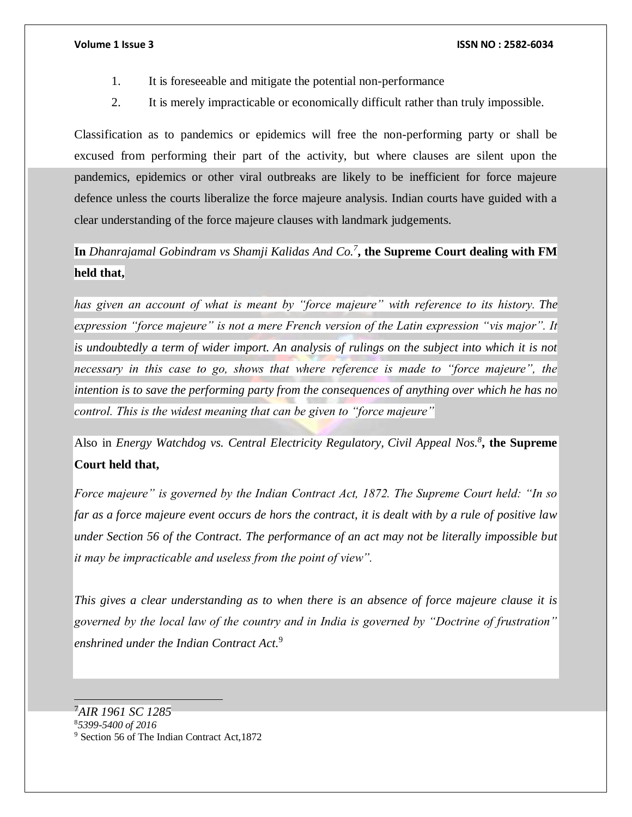- 1. It is foreseeable and mitigate the potential non-performance
- 2. It is merely impracticable or economically difficult rather than truly impossible.

Classification as to pandemics or epidemics will free the non-performing party or shall be excused from performing their part of the activity, but where clauses are silent upon the pandemics, epidemics or other viral outbreaks are likely to be inefficient for force majeure defence unless the courts liberalize the force majeure analysis. Indian courts have guided with a clear understanding of the force majeure clauses with landmark judgements.

**In** *Dhanrajamal Gobindram vs Shamji Kalidas And Co.<sup>7</sup>* **, the Supreme Court dealing with FM held that,**

*has given an account of what is meant by "force majeure" with reference to its history. The expression "force majeure" is not a mere French version of the Latin expression "vis major". It is undoubtedly a term of wider import. An analysis of rulings on the subject into which it is not necessary in this case to go, shows that where reference is made to "force majeure", the intention is to save the performing party from the consequences of anything over which he has no control. This is the widest meaning that can be given to "force majeure"*

Also in *Energy Watchdog vs. Central Electricity Regulatory, Civil Appeal Nos.<sup>8</sup>* **, the Supreme Court held that,**

*Force majeure" is governed by the Indian Contract Act, 1872. The Supreme Court held: "In so far as a force majeure event occurs de hors the contract, it is dealt with by a rule of positive law under Section 56 of the Contract. The performance of an act may not be literally impossible but it may be impracticable and useless from the point of view".*

*This gives a clear understanding as to when there is an absence of force majeure clause it is governed by the local law of the country and in India is governed by "Doctrine of frustration" enshrined under the Indian Contract Act.*<sup>9</sup>

<sup>8</sup>*5399-5400 of 2016*

 $\overline{a}$ 

<sup>7</sup>*AIR 1961 SC 1285*

<sup>9</sup> Section 56 of The Indian Contract Act,1872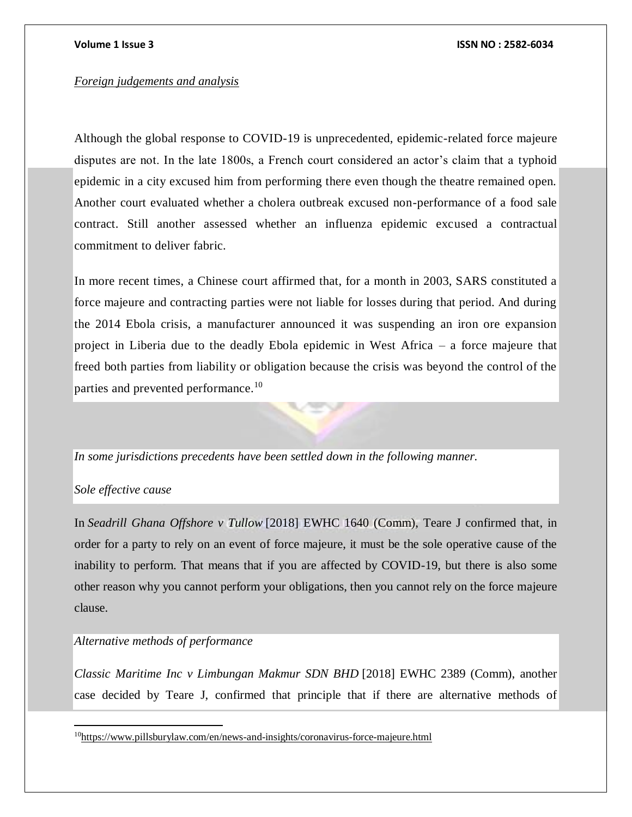#### *Foreign judgements and analysis*

Although the global response to COVID-19 is unprecedented, epidemic-related force majeure disputes are not. In the late 1800s, a French court considered an actor's claim that a typhoid epidemic in a city excused him from performing there even though the theatre remained open. Another court evaluated whether a cholera outbreak excused non-performance of a food sale contract. Still another assessed whether an influenza epidemic excused a contractual commitment to deliver fabric.

In more recent times, a Chinese court affirmed that, for a month in 2003, SARS constituted a force majeure and contracting parties were not liable for losses during that period. And during the 2014 Ebola crisis, a manufacturer announced it was suspending an iron ore expansion project in Liberia due to the deadly Ebola epidemic in West Africa – a force majeure that freed both parties from liability or obligation because the crisis was beyond the control of the parties and prevented performance.<sup>10</sup>

### *In some jurisdictions precedents have been settled down in the following manner.*

### *Sole effective cause*

 $\overline{a}$ 

In *Seadrill Ghana Offshore v Tullow* [2018] EWHC 1640 (Comm), Teare J confirmed that, in order for a party to rely on an event of force majeure, it must be the sole operative cause of the inability to perform. That means that if you are affected by COVID-19, but there is also some other reason why you cannot perform your obligations, then you cannot rely on the force majeure clause.

### *Alternative methods of performance*

*Classic Maritime Inc v Limbungan Makmur SDN BHD* [2018] EWHC 2389 (Comm), another case decided by Teare J, confirmed that principle that if there are alternative methods of

<sup>10</sup><https://www.pillsburylaw.com/en/news-and-insights/coronavirus-force-majeure.html>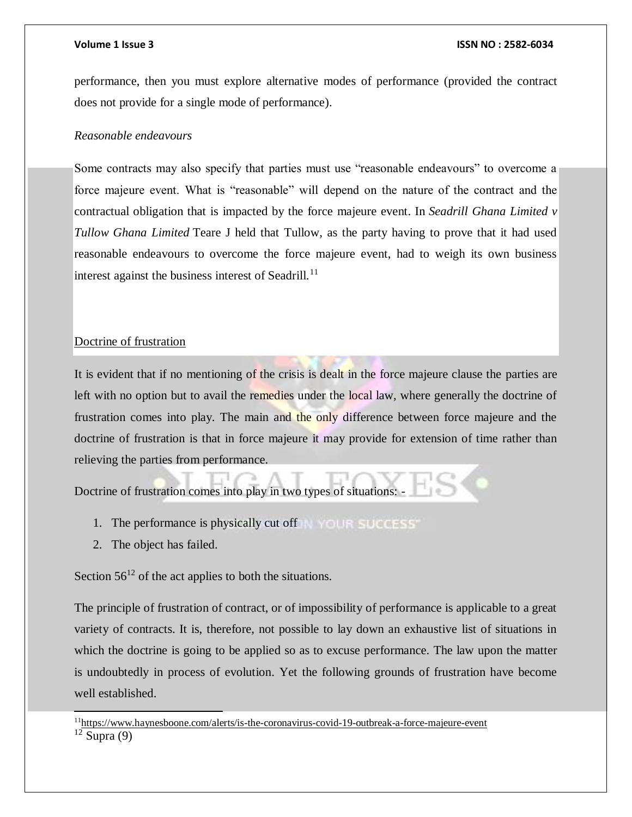performance, then you must explore alternative modes of performance (provided the contract does not provide for a single mode of performance).

### *Reasonable endeavours*

Some contracts may also specify that parties must use "reasonable endeavours" to overcome a force majeure event. What is "reasonable" will depend on the nature of the contract and the contractual obligation that is impacted by the force majeure event. In *Seadrill Ghana Limited v Tullow Ghana Limited* Teare J held that Tullow, as the party having to prove that it had used reasonable endeavours to overcome the force majeure event, had to weigh its own business interest against the business interest of Seadrill.<sup>11</sup>

### Doctrine of frustration

It is evident that if no mentioning of the crisis is dealt in the force majeure clause the parties are left with no option but to avail the remedies under the local law, where generally the doctrine of frustration comes into play. The main and the only difference between force majeure and the doctrine of frustration is that in force majeure it may provide for extension of time rather than relieving the parties from performance.

Doctrine of frustration comes into play in two types of situations:

- 1. The performance is physically cut off
- 2. The object has failed.

Section  $56^{12}$  of the act applies to both the situations.

The principle of frustration of contract, or of impossibility of performance is applicable to a great variety of contracts. It is, therefore, not possible to lay down an exhaustive list of situations in which the doctrine is going to be applied so as to excuse performance. The law upon the matter is undoubtedly in process of evolution. Yet the following grounds of frustration have become well established.

 $\overline{\phantom{a}}$ 

<sup>11</sup><https://www.haynesboone.com/alerts/is-the-coronavirus-covid-19-outbreak-a-force-majeure-event>

 $\frac{12}{\text{Supra}}(9)$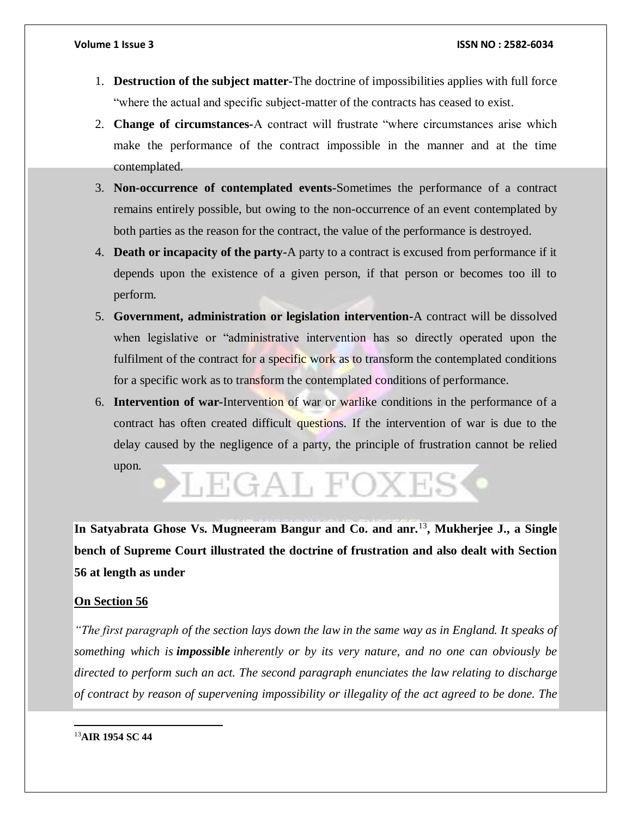- 1. **Destruction of the subject matter-**The doctrine of impossibilities applies with full force "where the actual and specific subject-matter of the contracts has ceased to exist.
- 2. **Change of circumstances-**A contract will frustrate "where circumstances arise which make the performance of the contract impossible in the manner and at the time contemplated.
- 3. **Non-occurrence of contemplated events-**Sometimes the performance of a contract remains entirely possible, but owing to the non-occurrence of an event contemplated by both parties as the reason for the contract, the value of the performance is destroyed.
- 4. **Death or incapacity of the party-**A party to a contract is excused from performance if it depends upon the existence of a given person, if that person or becomes too ill to perform.
- 5. **Government, administration or legislation intervention-**A contract will be dissolved when legislative or "administrative intervention has so directly operated upon the fulfilment of the contract for a specific work as to transform the contemplated conditions for a specific work as to transform the contemplated conditions of performance.
- 6. **Intervention of war-**Intervention of war or warlike conditions in the performance of a contract has often created difficult questions. If the intervention of war is due to the delay caused by the negligence of a party, the principle of frustration cannot be relied upon.

# LEGAL FOXES

**In Satyabrata Ghose Vs. Mugneeram Bangur and Co. and anr.**<sup>13</sup>**, Mukherjee J., a Single bench of Supreme Court illustrated the doctrine of frustration and also dealt with Section 56 at length as under**

### **On Section 56**

*"The first paragraph of the section lays down the law in the same way as in England. It speaks of something which is impossible inherently or by its very nature, and no one can obviously be directed to perform such an act. The second paragraph enunciates the law relating to discharge of contract by reason of supervening impossibility or illegality of the act agreed to be done. The*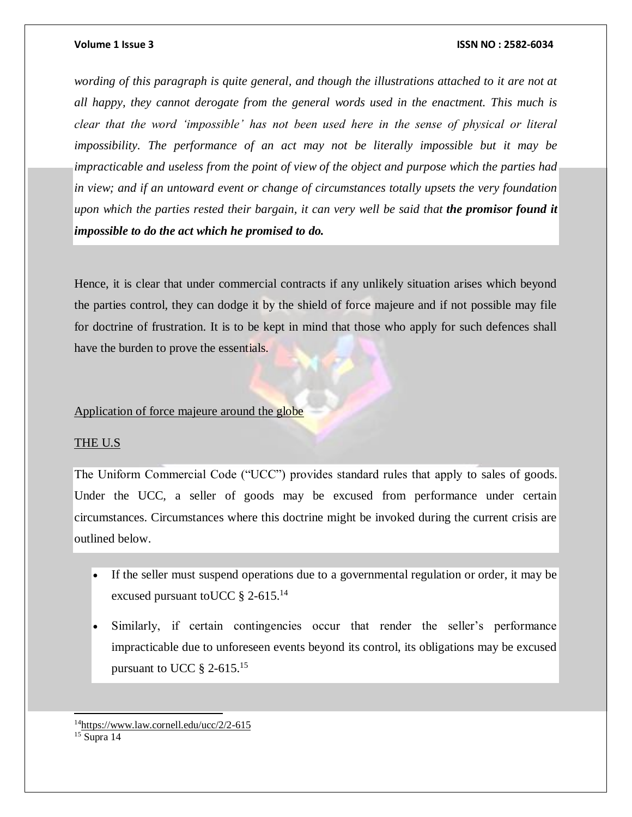*wording of this paragraph is quite general, and though the illustrations attached to it are not at all happy, they cannot derogate from the general words used in the enactment. This much is clear that the word 'impossible' has not been used here in the sense of physical or literal impossibility. The performance of an act may not be literally impossible but it may be impracticable and useless from the point of view of the object and purpose which the parties had in view; and if an untoward event or change of circumstances totally upsets the very foundation upon which the parties rested their bargain, it can very well be said that the promisor found it impossible to do the act which he promised to do.*

Hence, it is clear that under commercial contracts if any unlikely situation arises which beyond the parties control, they can dodge it by the shield of force majeure and if not possible may file for doctrine of frustration. It is to be kept in mind that those who apply for such defences shall have the burden to prove the essentials.

#### Application of force majeure around the globe

#### THE U.S

l

The Uniform Commercial Code ("UCC") provides standard rules that apply to sales of goods. Under the UCC, a seller of goods may be excused from performance under certain circumstances. Circumstances where this doctrine might be invoked during the current crisis are outlined below.

- If the seller must suspend operations due to a governmental regulation or order, it may be excused pursuant to UCC § 2-615.<sup>14</sup>
- Similarly, if certain contingencies occur that render the seller's performance impracticable due to unforeseen events beyond its control, its obligations may be excused pursuant to UCC  $\S$  2-615.<sup>15</sup>

<sup>14</sup><https://www.law.cornell.edu/ucc/2/2-615>  $15$  Supra 14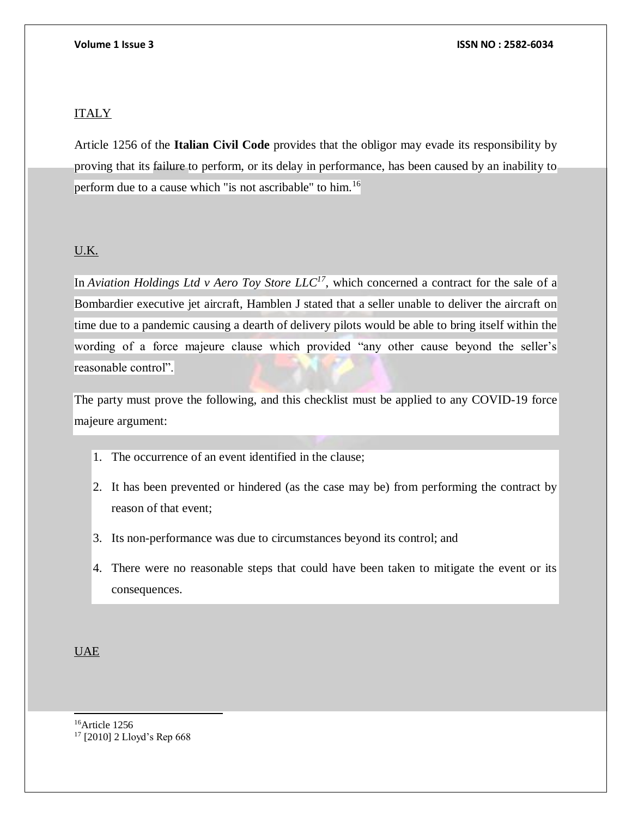### ITALY

Article 1256 of the **Italian Civil Code** provides that the obligor may evade its responsibility by proving that its failure to perform, or its delay in performance, has been caused by an inability to perform due to a cause which "is not ascribable" to him.<sup>16</sup>

### U.K.

In *Aviation Holdings Ltd v Aero Toy Store LLC<sup>17</sup>*, which concerned a contract for the sale of a Bombardier executive jet aircraft, Hamblen J stated that a seller unable to deliver the aircraft on time due to a pandemic causing a dearth of delivery pilots would be able to bring itself within the wording of a force majeure clause which provided "any other cause beyond the seller's reasonable control".

The party must prove the following, and this checklist must be applied to any COVID-19 force majeure argument:

- 1. The occurrence of an event identified in the clause;
- 2. It has been prevented or hindered (as the case may be) from performing the contract by reason of that event;
- 3. Its non-performance was due to circumstances beyond its control; and
- 4. There were no reasonable steps that could have been taken to mitigate the event or its consequences.

UAE

l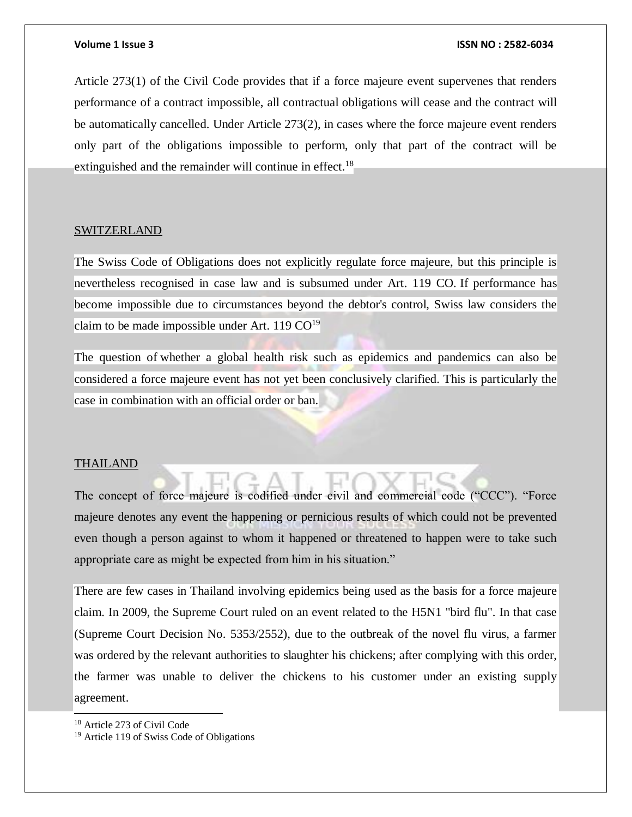Article 273(1) of the Civil Code provides that if a force majeure event supervenes that renders performance of a contract impossible, all contractual obligations will cease and the contract will be automatically cancelled. Under Article 273(2), in cases where the force majeure event renders only part of the obligations impossible to perform, only that part of the contract will be extinguished and the remainder will continue in effect.<sup>18</sup>

#### SWITZERLAND

The Swiss Code of Obligations does not explicitly regulate force majeure, but this principle is nevertheless recognised in case law and is subsumed under Art. 119 CO. If performance has become impossible due to circumstances beyond the debtor's control, Swiss law considers the claim to be made impossible under Art.  $119 \text{ CO}^{19}$ 

The question of whether a global health risk such as epidemics and pandemics can also be considered a force majeure event has not yet been conclusively clarified. This is particularly the case in combination with an official order or ban.

#### THAILAND

The concept of force majeure is codified under civil and commercial code ("CCC"). "Force majeure denotes any event the happening or pernicious results of which could not be prevented even though a person against to whom it happened or threatened to happen were to take such appropriate care as might be expected from him in his situation."

There are few cases in Thailand involving epidemics being used as the basis for a force majeure claim. In 2009, the Supreme Court ruled on an event related to the H5N1 "bird flu". In that case (Supreme Court Decision No. 5353/2552), due to the outbreak of the novel flu virus, a farmer was ordered by the relevant authorities to slaughter his chickens; after complying with this order, the farmer was unable to deliver the chickens to his customer under an existing supply agreement.

 $\overline{\phantom{a}}$ 

<sup>18</sup> Article 273 of Civil Code

<sup>19</sup> Article 119 of Swiss Code of Obligations